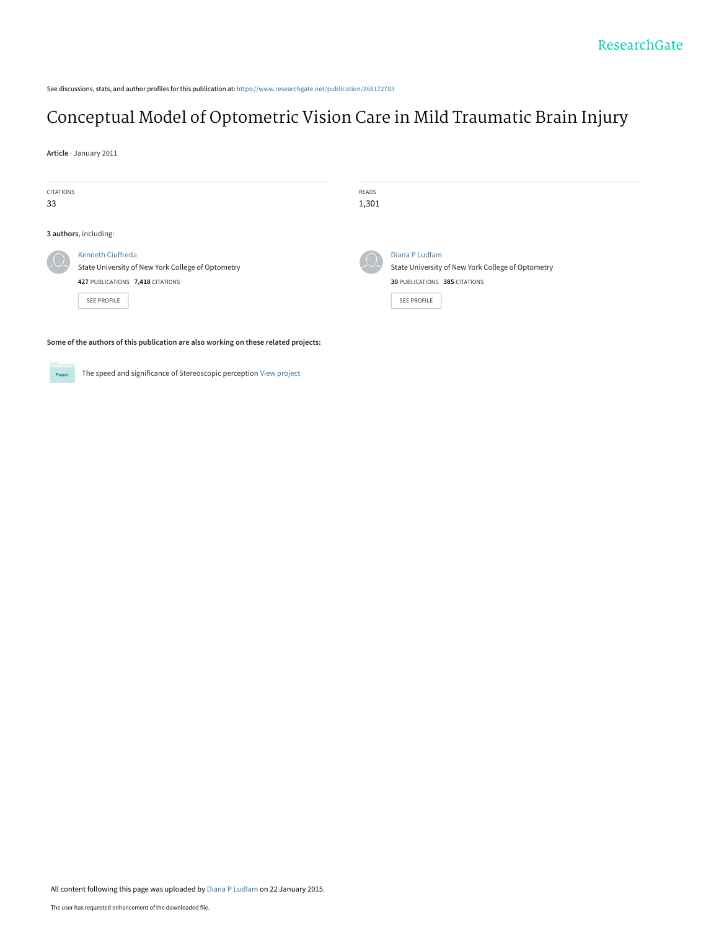See discussions, stats, and author profiles for this publication at: [https://www.researchgate.net/publication/268172783](https://www.researchgate.net/publication/268172783_Conceptual_Model_of_Optometric_Vision_Care_in_Mild_Traumatic_Brain_Injury?enrichId=rgreq-0af6a48af85f5c64a7eb3e3d8b8ff45b-XXX&enrichSource=Y292ZXJQYWdlOzI2ODE3Mjc4MztBUzoxODg1NjM4NDkyMjgyOTNAMTQyMTk2ODUzMzY0OQ%3D%3D&el=1_x_2&_esc=publicationCoverPdf)

# [Conceptual Model of Optometric Vision Care in Mild Traumatic Brain Injury](https://www.researchgate.net/publication/268172783_Conceptual_Model_of_Optometric_Vision_Care_in_Mild_Traumatic_Brain_Injury?enrichId=rgreq-0af6a48af85f5c64a7eb3e3d8b8ff45b-XXX&enrichSource=Y292ZXJQYWdlOzI2ODE3Mjc4MztBUzoxODg1NjM4NDkyMjgyOTNAMTQyMTk2ODUzMzY0OQ%3D%3D&el=1_x_3&_esc=publicationCoverPdf)

**Article** · January 2011

| <b>CITATIONS</b><br>33 |                                                                                                                                         | <b>READS</b><br>1,301 |                                                                                                                     |  |  |
|------------------------|-----------------------------------------------------------------------------------------------------------------------------------------|-----------------------|---------------------------------------------------------------------------------------------------------------------|--|--|
| 3 authors, including:  |                                                                                                                                         |                       |                                                                                                                     |  |  |
|                        | <b>Kenneth Ciuffreda</b><br>State University of New York College of Optometry<br>427 PUBLICATIONS 7,418 CITATIONS<br><b>SEE PROFILE</b> |                       | Diana P Ludlam<br>State University of New York College of Optometry<br>30 PUBLICATIONS 385 CITATIONS<br>SEE PROFILE |  |  |

**Some of the authors of this publication are also working on these related projects:**

The speed and significance of Stereoscopic perception [View project](https://www.researchgate.net/project/The-speed-and-significance-of-Stereoscopic-perception?enrichId=rgreq-0af6a48af85f5c64a7eb3e3d8b8ff45b-XXX&enrichSource=Y292ZXJQYWdlOzI2ODE3Mjc4MztBUzoxODg1NjM4NDkyMjgyOTNAMTQyMTk2ODUzMzY0OQ%3D%3D&el=1_x_9&_esc=publicationCoverPdf)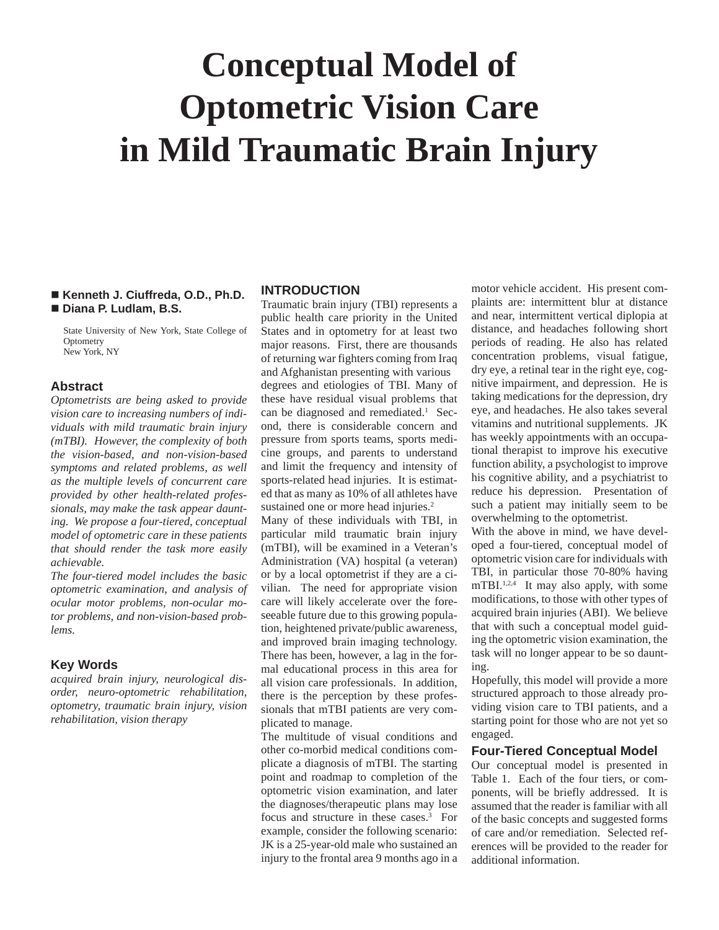# **Conceptual Model of Optometric Vision Care in Mild Traumatic Brain Injury**

#### **Kenneth J. Ciuffreda, O.D., Ph.D. Diana P. Ludlam, B.S.**

 State University of New York, State College of **Optometry** New York, NY

# **Abstract**

*Optometrists are being asked to provide vision care to increasing numbers of individuals with mild traumatic brain injury (mTBI). However, the complexity of both the vision-based, and non-vision-based symptoms and related problems, as well as the multiple levels of concurrent care provided by other health-related professionals, may make the task appear daunting. We propose a four-tiered, conceptual model of optometric care in these patients that should render the task more easily achievable.*

*The four-tiered model includes the basic optometric examination, and analysis of ocular motor problems, non-ocular motor problems, and non-vision-based problems.*

# **Key Words**

 *acquired brain injury, neurological disorder, neuro-optometric rehabilitation, optometry, traumatic brain injury, vision rehabilitation, vision therapy*

# **INTRODUCTION**

Traumatic brain injury (TBI) represents a public health care priority in the United States and in optometry for at least two major reasons. First, there are thousands of returning war fighters coming from Iraq and Afghanistan presenting with various degrees and etiologies of TBI. Many of these have residual visual problems that can be diagnosed and remediated.<sup>1</sup> Second, there is considerable concern and pressure from sports teams, sports medicine groups, and parents to understand and limit the frequency and intensity of sports-related head injuries. It is estimated that as many as 10% of all athletes have sustained one or more head injuries.<sup>2</sup>

 Many of these individuals with TBI, in particular mild traumatic brain injury (mTBI), will be examined in a Veteran's Administration (VA) hospital (a veteran) or by a local optometrist if they are a civilian. The need for appropriate vision care will likely accelerate over the foreseeable future due to this growing population, heightened private/public awareness, and improved brain imaging technology. There has been, however, a lag in the formal educational process in this area for all vision care professionals. In addition, there is the perception by these professionals that mTBI patients are very complicated to manage.

The multitude of visual conditions and other co-morbid medical conditions complicate a diagnosis of mTBI. The starting point and roadmap to completion of the optometric vision examination, and later the diagnoses/therapeutic plans may lose focus and structure in these cases.<sup>3</sup> For example, consider the following scenario: JK is a 25-year-old male who sustained an injury to the frontal area 9 months ago in a

motor vehicle accident. His present complaints are: intermittent blur at distance and near, intermittent vertical diplopia at distance, and headaches following short periods of reading. He also has related concentration problems, visual fatigue, dry eye, a retinal tear in the right eye, cognitive impairment, and depression. He is taking medications for the depression, dry eye, and headaches. He also takes several vitamins and nutritional supplements. JK has weekly appointments with an occupational therapist to improve his executive function ability, a psychologist to improve his cognitive ability, and a psychiatrist to reduce his depression. Presentation of such a patient may initially seem to be overwhelming to the optometrist.

 With the above in mind, we have developed a four-tiered, conceptual model of optometric vision care for individuals with TBI, in particular those 70-80% having  $mTBL^{1,2,4}$  It may also apply, with some modifications, to those with other types of acquired brain injuries (ABI). We believe that with such a conceptual model guiding the optometric vision examination, the task will no longer appear to be so daunting.

Hopefully, this model will provide a more structured approach to those already providing vision care to TBI patients, and a starting point for those who are not yet so engaged.

#### **Four-Tiered Conceptual Model**

 Our conceptual model is presented in Table 1. Each of the four tiers, or components, will be briefly addressed. It is assumed that the reader is familiar with all of the basic concepts and suggested forms of care and/or remediation. Selected references will be provided to the reader for additional information.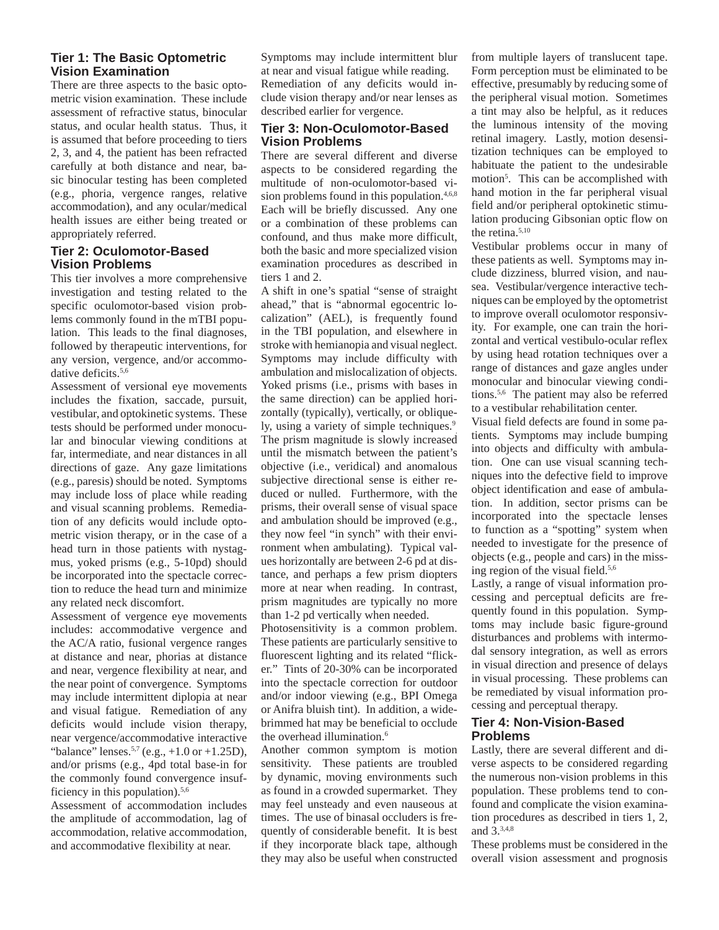# **Tier 1: The Basic Optometric Vision Examination**

 There are three aspects to the basic optometric vision examination. These include assessment of refractive status, binocular status, and ocular health status. Thus, it is assumed that before proceeding to tiers 2, 3, and 4, the patient has been refracted carefully at both distance and near, basic binocular testing has been completed (e.g., phoria, vergence ranges, relative accommodation), and any ocular/medical health issues are either being treated or appropriately referred.

# **Tier 2: Oculomotor-Based Vision Problems**

 This tier involves a more comprehensive investigation and testing related to the specific oculomotor-based vision problems commonly found in the mTBI population. This leads to the final diagnoses, followed by therapeutic interventions, for any version, vergence, and/or accommodative deficits.5,6

Assessment of versional eye movements includes the fixation, saccade, pursuit, vestibular, and optokinetic systems. These tests should be performed under monocular and binocular viewing conditions at far, intermediate, and near distances in all directions of gaze. Any gaze limitations (e.g., paresis) should be noted. Symptoms may include loss of place while reading and visual scanning problems. Remediation of any deficits would include optometric vision therapy, or in the case of a head turn in those patients with nystagmus, yoked prisms (e.g., 5-10pd) should be incorporated into the spectacle correction to reduce the head turn and minimize any related neck discomfort.

Assessment of vergence eye movements includes: accommodative vergence and the AC/A ratio, fusional vergence ranges at distance and near, phorias at distance and near, vergence flexibility at near, and the near point of convergence. Symptoms may include intermittent diplopia at near and visual fatigue. Remediation of any deficits would include vision therapy, near vergence/accommodative interactive "balance" lenses.<sup>5,7</sup> (e.g.,  $+1.0$  or  $+1.25D$ ), and/or prisms (e.g., 4pd total base-in for the commonly found convergence insufficiency in this population). $5,6$ 

Assessment of accommodation includes the amplitude of accommodation, lag of accommodation, relative accommodation, and accommodative flexibility at near.

Symptoms may include intermittent blur at near and visual fatigue while reading. Remediation of any deficits would include vision therapy and/or near lenses as described earlier for vergence.

# **Tier 3: Non-Oculomotor-Based Vision Problems**

There are several different and diverse aspects to be considered regarding the multitude of non-oculomotor-based vision problems found in this population. $4,6,8$ Each will be briefly discussed. Any one or a combination of these problems can confound, and thus make more difficult, both the basic and more specialized vision examination procedures as described in tiers 1 and 2.

A shift in one's spatial "sense of straight ahead," that is "abnormal egocentric localization" (AEL), is frequently found in the TBI population, and elsewhere in stroke with hemianopia and visual neglect. Symptoms may include difficulty with ambulation and mislocalization of objects. Yoked prisms (i.e., prisms with bases in the same direction) can be applied horizontally (typically), vertically, or obliquely, using a variety of simple techniques.<sup>9</sup> The prism magnitude is slowly increased until the mismatch between the patient's objective (i.e., veridical) and anomalous subjective directional sense is either reduced or nulled. Furthermore, with the prisms, their overall sense of visual space and ambulation should be improved (e.g., they now feel "in synch" with their environment when ambulating). Typical values horizontally are between 2-6 pd at distance, and perhaps a few prism diopters more at near when reading. In contrast, prism magnitudes are typically no more than 1-2 pd vertically when needed.

Photosensitivity is a common problem. These patients are particularly sensitive to fluorescent lighting and its related "flicker." Tints of 20-30% can be incorporated into the spectacle correction for outdoor and/or indoor viewing (e.g., BPI Omega or Anifra bluish tint). In addition, a widebrimmed hat may be beneficial to occlude the overhead illumination.<sup>6</sup>

Another common symptom is motion sensitivity. These patients are troubled by dynamic, moving environments such as found in a crowded supermarket. They may feel unsteady and even nauseous at times. The use of binasal occluders is frequently of considerable benefit. It is best if they incorporate black tape, although they may also be useful when constructed

from multiple layers of translucent tape. Form perception must be eliminated to be effective, presumably by reducing some of the peripheral visual motion. Sometimes a tint may also be helpful, as it reduces the luminous intensity of the moving retinal imagery. Lastly, motion desensitization techniques can be employed to habituate the patient to the undesirable motion<sup>5</sup>. This can be accomplished with hand motion in the far peripheral visual field and/or peripheral optokinetic stimulation producing Gibsonian optic flow on the retina.<sup>5,10</sup>

Vestibular problems occur in many of these patients as well. Symptoms may include dizziness, blurred vision, and nausea. Vestibular/vergence interactive techniques can be employed by the optometrist to improve overall oculomotor responsivity. For example, one can train the horizontal and vertical vestibulo-ocular reflex by using head rotation techniques over a range of distances and gaze angles under monocular and binocular viewing conditions.5,6 The patient may also be referred to a vestibular rehabilitation center.

Visual field defects are found in some patients. Symptoms may include bumping into objects and difficulty with ambulation. One can use visual scanning techniques into the defective field to improve object identification and ease of ambulation. In addition, sector prisms can be incorporated into the spectacle lenses to function as a "spotting" system when needed to investigate for the presence of objects (e.g., people and cars) in the missing region of the visual field. $5,6$ 

Lastly, a range of visual information processing and perceptual deficits are frequently found in this population. Symptoms may include basic figure-ground disturbances and problems with intermodal sensory integration, as well as errors in visual direction and presence of delays in visual processing. These problems can be remediated by visual information processing and perceptual therapy.

# **Tier 4: Non-Vision-Based Problems**

Lastly, there are several different and diverse aspects to be considered regarding the numerous non-vision problems in this population. These problems tend to confound and complicate the vision examination procedures as described in tiers 1, 2, and 3.3,4,8

These problems must be considered in the overall vision assessment and prognosis